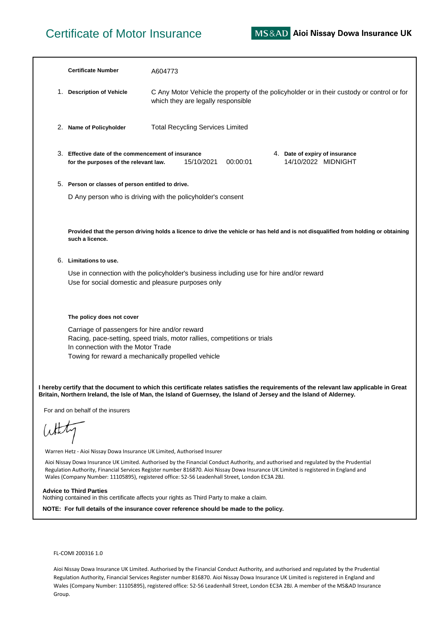## Certificate of Motor Insurance

|                                                                                                                                                                                                                                                                                                                                                                               | <b>Certificate Number</b>                                                                                                                                                                                              | A604773                                                                                                                             |  |
|-------------------------------------------------------------------------------------------------------------------------------------------------------------------------------------------------------------------------------------------------------------------------------------------------------------------------------------------------------------------------------|------------------------------------------------------------------------------------------------------------------------------------------------------------------------------------------------------------------------|-------------------------------------------------------------------------------------------------------------------------------------|--|
| 1.                                                                                                                                                                                                                                                                                                                                                                            | <b>Description of Vehicle</b>                                                                                                                                                                                          | C Any Motor Vehicle the property of the policyholder or in their custody or control or for<br>which they are legally responsible    |  |
|                                                                                                                                                                                                                                                                                                                                                                               | 2. Name of Policyholder                                                                                                                                                                                                | <b>Total Recycling Services Limited</b>                                                                                             |  |
|                                                                                                                                                                                                                                                                                                                                                                               | 3. Effective date of the commencement of insurance<br>4. Date of expiry of insurance<br>14/10/2022 MIDNIGHT<br>15/10/2021<br>00:00:01<br>for the purposes of the relevant law.                                         |                                                                                                                                     |  |
|                                                                                                                                                                                                                                                                                                                                                                               | 5. Person or classes of person entitled to drive.                                                                                                                                                                      |                                                                                                                                     |  |
|                                                                                                                                                                                                                                                                                                                                                                               |                                                                                                                                                                                                                        | D Any person who is driving with the policyholder's consent                                                                         |  |
|                                                                                                                                                                                                                                                                                                                                                                               | such a licence.                                                                                                                                                                                                        | Provided that the person driving holds a licence to drive the vehicle or has held and is not disqualified from holding or obtaining |  |
|                                                                                                                                                                                                                                                                                                                                                                               | 6. Limitations to use.                                                                                                                                                                                                 |                                                                                                                                     |  |
|                                                                                                                                                                                                                                                                                                                                                                               | Use in connection with the policyholder's business including use for hire and/or reward<br>Use for social domestic and pleasure purposes only                                                                          |                                                                                                                                     |  |
|                                                                                                                                                                                                                                                                                                                                                                               | The policy does not cover                                                                                                                                                                                              |                                                                                                                                     |  |
|                                                                                                                                                                                                                                                                                                                                                                               | Carriage of passengers for hire and/or reward<br>Racing, pace-setting, speed trials, motor rallies, competitions or trials<br>In connection with the Motor Trade<br>Towing for reward a mechanically propelled vehicle |                                                                                                                                     |  |
| I hereby certify that the document to which this certificate relates satisfies the requirements of the relevant law applicable in Great<br>Britain, Northern Ireland, the Isle of Man, the Island of Guernsey, the Island of Jersey and the Island of Alderney.                                                                                                               |                                                                                                                                                                                                                        |                                                                                                                                     |  |
| For and on behalf of the insurers<br>White                                                                                                                                                                                                                                                                                                                                    |                                                                                                                                                                                                                        |                                                                                                                                     |  |
|                                                                                                                                                                                                                                                                                                                                                                               |                                                                                                                                                                                                                        |                                                                                                                                     |  |
| Warren Hetz - Aioi Nissay Dowa Insurance UK Limited, Authorised Insurer                                                                                                                                                                                                                                                                                                       |                                                                                                                                                                                                                        |                                                                                                                                     |  |
| Aioi Nissay Dowa Insurance UK Limited. Authorised by the Financial Conduct Authority, and authorised and regulated by the Prudential<br>Regulation Authority, Financial Services Register number 816870. Aioi Nissay Dowa Insurance UK Limited is registered in England and<br>Wales (Company Number: 11105895), registered office: 52-56 Leadenhall Street, London EC3A 2BJ. |                                                                                                                                                                                                                        |                                                                                                                                     |  |
| <b>Advice to Third Parties</b><br>Nothing contained in this certificate affects your rights as Third Party to make a claim.                                                                                                                                                                                                                                                   |                                                                                                                                                                                                                        |                                                                                                                                     |  |
| NOTE: For full details of the insurance cover reference should be made to the policy.                                                                                                                                                                                                                                                                                         |                                                                                                                                                                                                                        |                                                                                                                                     |  |
|                                                                                                                                                                                                                                                                                                                                                                               |                                                                                                                                                                                                                        |                                                                                                                                     |  |
|                                                                                                                                                                                                                                                                                                                                                                               |                                                                                                                                                                                                                        |                                                                                                                                     |  |

## FL-COMI 200316 1.0

Aioi Nissay Dowa Insurance UK Limited. Authorised by the Financial Conduct Authority, and authorised and regulated by the Prudential Regulation Authority, Financial Services Register number 816870. Aioi Nissay Dowa Insurance UK Limited is registered in England and Wales (Company Number: 11105895), registered office: 52-56 Leadenhall Street, London EC3A 2BJ. A member of the MS&AD Insurance Group.